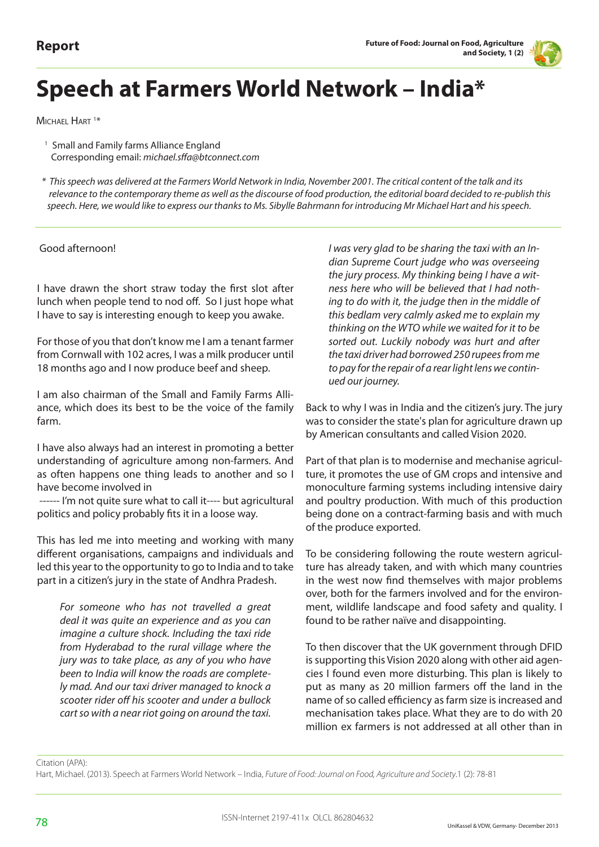

## **Speech at Farmers World Network – India\***

MICHAEL HART<sup>1\*</sup>

<sup>1</sup> Small and Family farms Alliance England Corresponding email: *michael.sffa@btconnect.com*

 *\* This speech was delivered at the Farmers World Network in India, November 2001. The critical content of the talk and its relevance to the contemporary theme as well as the discourse of food production, the editorial board decided to re-publish this speech. Here, we would like to express our thanks to Ms. Sibylle Bahrmann for introducing Mr Michael Hart and his speech.*

## Good afternoon!

I have drawn the short straw today the first slot after lunch when people tend to nod off. So I just hope what I have to say is interesting enough to keep you awake.

For those of you that don't know me I am a tenant farmer from Cornwall with 102 acres, I was a milk producer until 18 months ago and I now produce beef and sheep.

I am also chairman of the Small and Family Farms Alliance, which does its best to be the voice of the family farm.

I have also always had an interest in promoting a better understanding of agriculture among non-farmers. And as often happens one thing leads to another and so I have become involved in

 ------ I'm not quite sure what to call it---- but agricultural politics and policy probably fits it in a loose way.

This has led me into meeting and working with many different organisations, campaigns and individuals and led this year to the opportunity to go to India and to take part in a citizen's jury in the state of Andhra Pradesh.

*For someone who has not travelled a great deal it was quite an experience and as you can imagine a culture shock. Including the taxi ride from Hyderabad to the rural village where the jury was to take place, as any of you who have been to India will know the roads are completely mad. And our taxi driver managed to knock a scooter rider off his scooter and under a bullock cart so with a near riot going on around the taxi.*

*I was very glad to be sharing the taxi with an Indian Supreme Court judge who was overseeing the jury process. My thinking being I have a witness here who will be believed that I had nothing to do with it, the judge then in the middle of this bedlam very calmly asked me to explain my thinking on the WTO while we waited for it to be sorted out. Luckily nobody was hurt and after the taxi driver had borrowed 250 rupees from me to pay for the repair of a rear light lens we continued our journey.*

Back to why I was in India and the citizen's jury. The jury was to consider the state's plan for agriculture drawn up by American consultants and called Vision 2020.

Part of that plan is to modernise and mechanise agriculture, it promotes the use of GM crops and intensive and monoculture farming systems including intensive dairy and poultry production. With much of this production being done on a contract-farming basis and with much of the produce exported.

To be considering following the route western agriculture has already taken, and with which many countries in the west now find themselves with major problems over, both for the farmers involved and for the environment, wildlife landscape and food safety and quality. I found to be rather naïve and disappointing.

To then discover that the UK government through DFID is supporting this Vision 2020 along with other aid agencies I found even more disturbing. This plan is likely to put as many as 20 million farmers off the land in the name of so called efficiency as farm size is increased and mechanisation takes place. What they are to do with 20 million ex farmers is not addressed at all other than in

Citation (APA):

Hart, Michael. (2013). Speech at Farmers World Network – India, *Future of Food: Journal on Food, Agriculture and Society*.1 (2): 78-81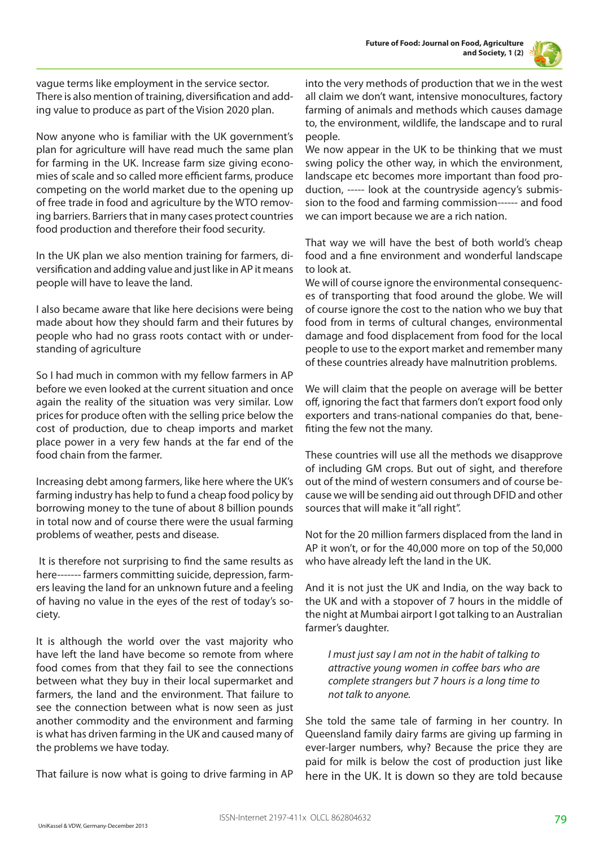

vague terms like employment in the service sector. There is also mention of training, diversification and adding value to produce as part of the Vision 2020 plan.

Now anyone who is familiar with the UK government's plan for agriculture will have read much the same plan for farming in the UK. Increase farm size giving economies of scale and so called more efficient farms, produce competing on the world market due to the opening up of free trade in food and agriculture by the WTO removing barriers. Barriers that in many cases protect countries food production and therefore their food security.

In the UK plan we also mention training for farmers, diversification and adding value and just like in AP it means people will have to leave the land.

I also became aware that like here decisions were being made about how they should farm and their futures by people who had no grass roots contact with or understanding of agriculture

So I had much in common with my fellow farmers in AP before we even looked at the current situation and once again the reality of the situation was very similar. Low prices for produce often with the selling price below the cost of production, due to cheap imports and market place power in a very few hands at the far end of the food chain from the farmer.

Increasing debt among farmers, like here where the UK's farming industry has help to fund a cheap food policy by borrowing money to the tune of about 8 billion pounds in total now and of course there were the usual farming problems of weather, pests and disease.

 It is therefore not surprising to find the same results as here------- farmers committing suicide, depression, farmers leaving the land for an unknown future and a feeling of having no value in the eyes of the rest of today's society.

It is although the world over the vast majority who have left the land have become so remote from where food comes from that they fail to see the connections between what they buy in their local supermarket and farmers, the land and the environment. That failure to see the connection between what is now seen as just another commodity and the environment and farming is what has driven farming in the UK and caused many of the problems we have today.

That failure is now what is going to drive farming in AP

into the very methods of production that we in the west all claim we don't want, intensive monocultures, factory farming of animals and methods which causes damage to, the environment, wildlife, the landscape and to rural people.

We now appear in the UK to be thinking that we must swing policy the other way, in which the environment, landscape etc becomes more important than food production, ----- look at the countryside agency's submission to the food and farming commission------ and food we can import because we are a rich nation.

That way we will have the best of both world's cheap food and a fine environment and wonderful landscape to look at.

We will of course ignore the environmental consequences of transporting that food around the globe. We will of course ignore the cost to the nation who we buy that food from in terms of cultural changes, environmental damage and food displacement from food for the local people to use to the export market and remember many of these countries already have malnutrition problems.

We will claim that the people on average will be better off, ignoring the fact that farmers don't export food only exporters and trans-national companies do that, benefiting the few not the many.

These countries will use all the methods we disapprove of including GM crops. But out of sight, and therefore out of the mind of western consumers and of course because we will be sending aid out through DFID and other sources that will make it "all right".

Not for the 20 million farmers displaced from the land in AP it won't, or for the 40,000 more on top of the 50,000 who have already left the land in the UK.

And it is not just the UK and India, on the way back to the UK and with a stopover of 7 hours in the middle of the night at Mumbai airport I got talking to an Australian farmer's daughter.

*I must just say I am not in the habit of talking to attractive young women in coffee bars who are complete strangers but 7 hours is a long time to not talk to anyone.* 

She told the same tale of farming in her country. In Queensland family dairy farms are giving up farming in ever-larger numbers, why? Because the price they are paid for milk is below the cost of production just like here in the UK. It is down so they are told because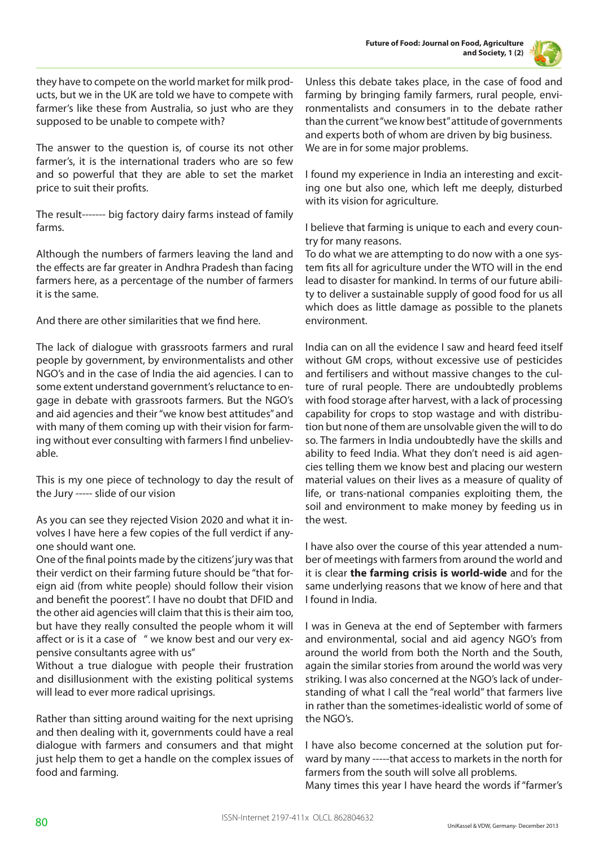

they have to compete on the world market for milk products, but we in the UK are told we have to compete with farmer's like these from Australia, so just who are they supposed to be unable to compete with?

The answer to the question is, of course its not other farmer's, it is the international traders who are so few and so powerful that they are able to set the market price to suit their profits.

The result------- big factory dairy farms instead of family farms.

Although the numbers of farmers leaving the land and the effects are far greater in Andhra Pradesh than facing farmers here, as a percentage of the number of farmers it is the same.

And there are other similarities that we find here.

The lack of dialogue with grassroots farmers and rural people by government, by environmentalists and other NGO's and in the case of India the aid agencies. I can to some extent understand government's reluctance to engage in debate with grassroots farmers. But the NGO's and aid agencies and their "we know best attitudes" and with many of them coming up with their vision for farming without ever consulting with farmers I find unbelievable.

This is my one piece of technology to day the result of the Jury ----- slide of our vision

As you can see they rejected Vision 2020 and what it involves I have here a few copies of the full verdict if anyone should want one.

One of the final points made by the citizens' jury was that their verdict on their farming future should be "that foreign aid (from white people) should follow their vision and benefit the poorest". I have no doubt that DFID and the other aid agencies will claim that this is their aim too, but have they really consulted the people whom it will affect or is it a case of " we know best and our very expensive consultants agree with us"

Without a true dialogue with people their frustration and disillusionment with the existing political systems will lead to ever more radical uprisings.

Rather than sitting around waiting for the next uprising and then dealing with it, governments could have a real dialogue with farmers and consumers and that might just help them to get a handle on the complex issues of food and farming.

Unless this debate takes place, in the case of food and farming by bringing family farmers, rural people, environmentalists and consumers in to the debate rather than the current "we know best" attitude of governments and experts both of whom are driven by big business. We are in for some major problems.

I found my experience in India an interesting and exciting one but also one, which left me deeply, disturbed with its vision for agriculture.

I believe that farming is unique to each and every country for many reasons.

To do what we are attempting to do now with a one system fits all for agriculture under the WTO will in the end lead to disaster for mankind. In terms of our future ability to deliver a sustainable supply of good food for us all which does as little damage as possible to the planets environment.

India can on all the evidence I saw and heard feed itself without GM crops, without excessive use of pesticides and fertilisers and without massive changes to the culture of rural people. There are undoubtedly problems with food storage after harvest, with a lack of processing capability for crops to stop wastage and with distribution but none of them are unsolvable given the will to do so. The farmers in India undoubtedly have the skills and ability to feed India. What they don't need is aid agencies telling them we know best and placing our western material values on their lives as a measure of quality of life, or trans-national companies exploiting them, the soil and environment to make money by feeding us in the west.

I have also over the course of this year attended a number of meetings with farmers from around the world and it is clear **the farming crisis is world-wide** and for the same underlying reasons that we know of here and that I found in India.

I was in Geneva at the end of September with farmers and environmental, social and aid agency NGO's from around the world from both the North and the South, again the similar stories from around the world was very striking. I was also concerned at the NGO's lack of understanding of what I call the "real world" that farmers live in rather than the sometimes-idealistic world of some of the NGO's.

I have also become concerned at the solution put forward by many -----that access to markets in the north for farmers from the south will solve all problems. Many times this year I have heard the words if "farmer's